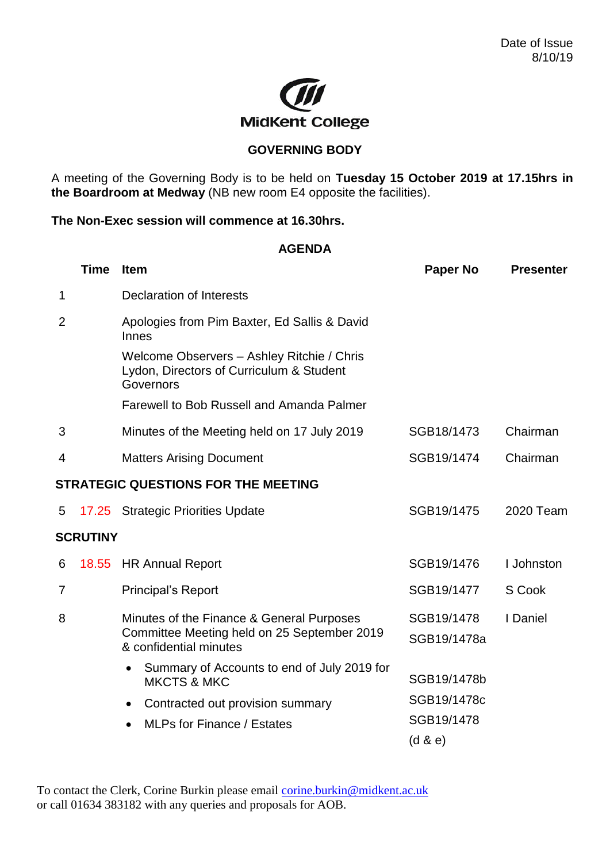

## **GOVERNING BODY**

A meeting of the Governing Body is to be held on **Tuesday 15 October 2019 at 17.15hrs in the Boardroom at Medway** (NB new room E4 opposite the facilities).

## **The Non-Exec session will commence at 16.30hrs.**

## **AGENDA**

|                                     | <b>Time</b> | <b>Item</b>                                                                                         | <b>Paper No</b> | <b>Presenter</b> |  |  |  |
|-------------------------------------|-------------|-----------------------------------------------------------------------------------------------------|-----------------|------------------|--|--|--|
| $\mathbf 1$                         |             | <b>Declaration of Interests</b>                                                                     |                 |                  |  |  |  |
| $\overline{2}$                      |             | Apologies from Pim Baxter, Ed Sallis & David<br>Innes                                               |                 |                  |  |  |  |
|                                     |             | Welcome Observers - Ashley Ritchie / Chris<br>Lydon, Directors of Curriculum & Student<br>Governors |                 |                  |  |  |  |
|                                     |             | Farewell to Bob Russell and Amanda Palmer                                                           |                 |                  |  |  |  |
| 3                                   |             | Minutes of the Meeting held on 17 July 2019                                                         | SGB18/1473      | Chairman         |  |  |  |
| 4                                   |             | <b>Matters Arising Document</b>                                                                     | SGB19/1474      | Chairman         |  |  |  |
| STRATEGIC QUESTIONS FOR THE MEETING |             |                                                                                                     |                 |                  |  |  |  |
| 5                                   |             | 17.25 Strategic Priorities Update                                                                   | SGB19/1475      | 2020 Team        |  |  |  |
| <b>SCRUTINY</b>                     |             |                                                                                                     |                 |                  |  |  |  |
| 6                                   | 18.55       | <b>HR Annual Report</b>                                                                             | SGB19/1476      | I Johnston       |  |  |  |
| 7                                   |             | <b>Principal's Report</b>                                                                           | SGB19/1477      | S Cook           |  |  |  |
| 8                                   |             | Minutes of the Finance & General Purposes                                                           | SGB19/1478      | I Daniel         |  |  |  |
|                                     |             | Committee Meeting held on 25 September 2019<br>& confidential minutes                               | SGB19/1478a     |                  |  |  |  |
|                                     |             | Summary of Accounts to end of July 2019 for<br>$\bullet$<br><b>MKCTS &amp; MKC</b>                  | SGB19/1478b     |                  |  |  |  |
|                                     |             | Contracted out provision summary<br>$\bullet$                                                       | SGB19/1478c     |                  |  |  |  |
|                                     |             | <b>MLPs for Finance / Estates</b><br>$\bullet$                                                      | SGB19/1478      |                  |  |  |  |
|                                     |             |                                                                                                     | (d & e)         |                  |  |  |  |

To contact the Clerk, Corine Burkin please email [corine.burkin@midkent.ac.uk](mailto:corine.burkin@midkent.ac.uk) or call 01634 383182 with any queries and proposals for AOB.